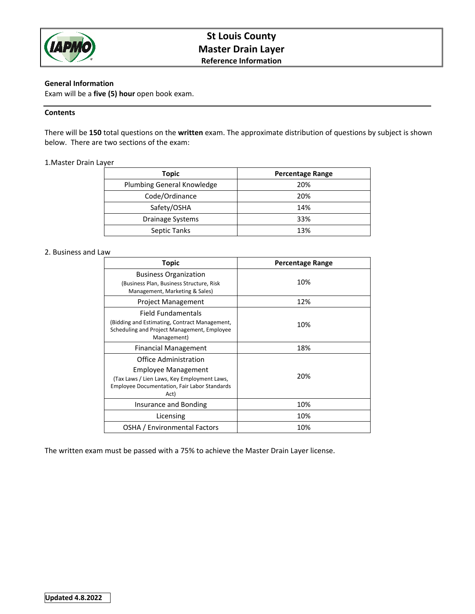

# **St Louis County Master Drain Layer Reference Information**

# **General Information**

Exam will be a **five (5) hour** open book exam.

# **Contents**

There will be **150** total questions on the **written** exam. The approximate distribution of questions by subject is shown below. There are two sections of the exam:

## 1.Master Drain Layer

| <b>Topic</b>               | <b>Percentage Range</b> |
|----------------------------|-------------------------|
| Plumbing General Knowledge | 20%                     |
| Code/Ordinance             | 20%                     |
| Safety/OSHA                | 14%                     |
| Drainage Systems           | 33%                     |
| Septic Tanks               | 13%                     |

# 2. Business and Law

| Topic                                                                                                                                                      | <b>Percentage Range</b> |
|------------------------------------------------------------------------------------------------------------------------------------------------------------|-------------------------|
| <b>Business Organization</b><br>(Business Plan, Business Structure, Risk<br>Management, Marketing & Sales)                                                 | 10%                     |
| <b>Project Management</b>                                                                                                                                  | 12%                     |
| Field Fundamentals<br>(Bidding and Estimating, Contract Management,<br>Scheduling and Project Management, Employee<br>Management)                          | 10%                     |
| <b>Financial Management</b>                                                                                                                                | 18%                     |
| Office Administration<br>Employee Management<br>(Tax Laws / Lien Laws, Key Employment Laws,<br><b>Employee Documentation, Fair Labor Standards</b><br>Act) | 20%                     |
| Insurance and Bonding                                                                                                                                      | 10%                     |
| Licensing                                                                                                                                                  | 10%                     |
| OSHA / Environmental Factors                                                                                                                               | 10%                     |

The written exam must be passed with a 75% to achieve the Master Drain Layer license.